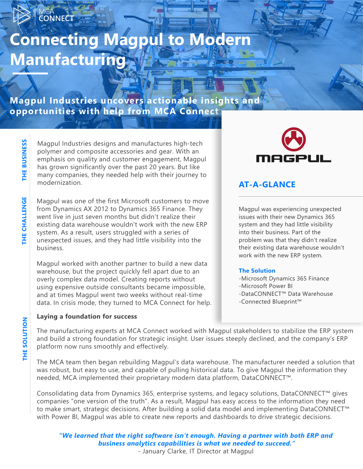# **Connecting Magpul to Modern Manufacturing**

**Magpul Industries uncovers actionable insights and opportunities with help from MCA Connect** 

> Magpul Industries designs and manufactures high-tech polymer and composite accessories and gear. With an emphasis on quality and customer engagement, Magpul has grown significantly over the past 20 years. But like many companies, they needed help with their journey to modernization.

Magpul was one of the first Microsoft customers to move from Dynamics AX 2012 to Dynamics 365 Finance. They went live in just seven months but didn't realize their existing data warehouse wouldn't work with the new ERP system. As a result, users struggled with a series of unexpected issues, and they had little visibility into the business.

Magpul worked with another partner to build a new data warehouse, but the project quickly fell apart due to an overly complex data model. Creating reports without using expensive outside consultants became impossible, and at times Magpul went two weeks without real-time data. In crisis mode, they turned to MCA Connect for help.

#### **Laying a foundation for success**



### **AT-A-GLANCE**

Magpul was experiencing unexpected issues with their new Dynamics 365 system and they had little visibility into their business. Part of the problem was that they didn't realize their existing data warehouse wouldn't work with the new ERP system.

#### **The Solution**

-Microsoft Dynamics 365 Finance -Microsoft Power BI -DataCONNECT™ Data Warehouse -Connected Blueprint™

The manufacturing experts at MCA Connect worked with Magpul stakeholders to stabilize the ERP system and build a strong foundation for strategic insight. User issues steeply declined, and the company's ERP platform now runs smoothly and effectively.

The MCA team then began rebuilding Magpul's data warehouse. The manufacturer needed a solution that was robust, but easy to use, and capable of pulling historical data. To give Magpul the information they needed, MCA implemented their proprietary modern data platform, [DataCONNECT™.](https://mcaconnect.com/solutions/business-analytics/data-warehouse/) 

Consolidating data from Dynamics 365, enterprise systems, and legacy solutions, DataCONNECT™ gives companies "one version of the truth". As a result, Magpul has easy access to the information they need to make smart, strategic decisions. After building a solid data model and implementing DataCONNECT™ with Power BI, Magpul was able to create new reports and dashboards to drive strategic decisions.

*"We learned that the right software isn't enough. Having a partner with both ERP and business analytics capabilities is what we needed to succeed."* - January Clarke, IT Director at Magpul

**CONNECT** 

**THE CHALLENGE**

THE CHALLENGE